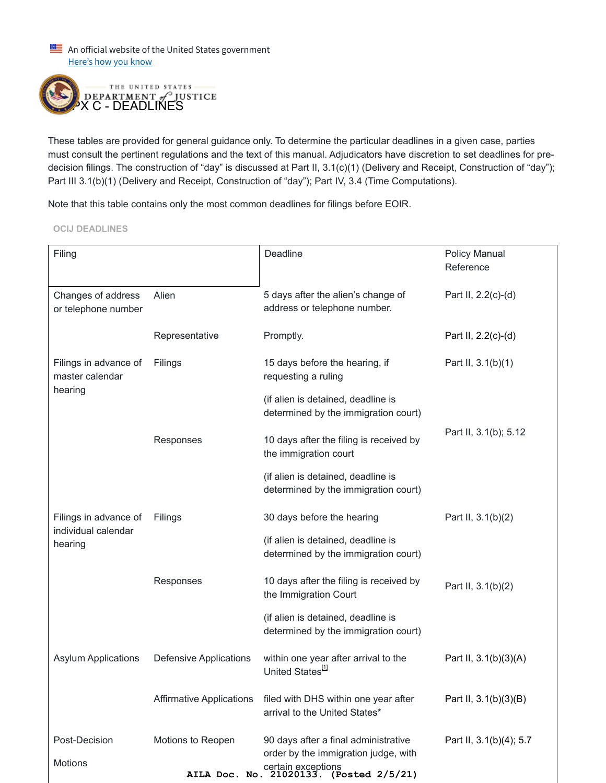An official website of the United States government Here's how you know



These tables are provided for general guidance only. To determine the particular deadlines in a given case, parties must consult the pertinent regulations and the text of this manual. Adjudicators have discretion to set deadlines for predecision filings. The construction of "day" is discussed at Part II, 3.1(c)(1) (Delivery and Receipt, Construction of "day"); Part III 3.1(b)(1) (Delivery and Receipt, Construction of "day"); Part IV, 3.4 (Time Computations).

Note that this table contains only the most common deadlines for filings before EOIR.

**OCIJ DEADLINES**

| Filing                                                        |                                 | Deadline                                                                     | <b>Policy Manual</b><br>Reference |
|---------------------------------------------------------------|---------------------------------|------------------------------------------------------------------------------|-----------------------------------|
| Changes of address<br>or telephone number                     | Alien                           | 5 days after the alien's change of<br>address or telephone number.           | Part II, 2.2(c)-(d)               |
|                                                               | Representative                  | Promptly.                                                                    | Part II, 2.2(c)-(d)               |
| Filings in advance of<br>master calendar<br>hearing           | Filings                         | 15 days before the hearing, if<br>requesting a ruling                        | Part II, 3.1(b)(1)                |
|                                                               |                                 | (if alien is detained, deadline is<br>determined by the immigration court)   |                                   |
|                                                               | Responses                       | 10 days after the filing is received by<br>the immigration court             | Part II, 3.1(b); 5.12             |
|                                                               |                                 | (if alien is detained, deadline is<br>determined by the immigration court)   |                                   |
| Filings in advance of<br>individual calendar<br>hearing       | Filings                         | 30 days before the hearing                                                   | Part II, 3.1(b)(2)                |
|                                                               |                                 | (if alien is detained, deadline is<br>determined by the immigration court)   |                                   |
|                                                               | Responses                       | 10 days after the filing is received by<br>the Immigration Court             | Part II, 3.1(b)(2)                |
|                                                               |                                 | (if alien is detained, deadline is<br>determined by the immigration court)   |                                   |
| <b>Asylum Applications</b>                                    | <b>Defensive Applications</b>   | within one year after arrival to the<br>United States <sup>[1]</sup>         | Part II, 3.1(b)(3)(A)             |
|                                                               | <b>Affirmative Applications</b> | filed with DHS within one year after<br>arrival to the United States*        | Part II, 3.1(b)(3)(B)             |
| Post-Decision<br>Motions                                      | Motions to Reopen               | 90 days after a final administrative<br>order by the immigration judge, with | Part II, 3.1(b)(4); 5.7           |
| certain exceptions<br>AILA Doc. No. 21020133. (Posted 2/5/21) |                                 |                                                                              |                                   |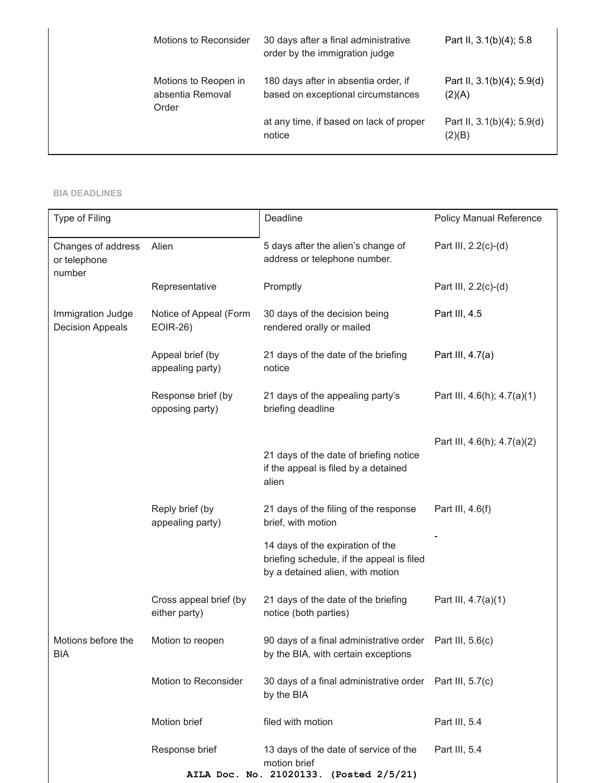| Motions to Reconsider                             | 30 days after a final administrative<br>order by the immigration judge     | Part II, 3.1(b)(4); 5.8              |
|---------------------------------------------------|----------------------------------------------------------------------------|--------------------------------------|
| Motions to Reopen in<br>absentia Removal<br>Order | 180 days after in absentia order, if<br>based on exceptional circumstances | Part II, 3.1(b)(4); 5.9(d)<br>(2)(A) |
|                                                   | at any time, if based on lack of proper<br>notice                          | Part II, 3.1(b)(4); 5.9(d)<br>(2)(B) |

## **BIA DEADLINES**

| Type of Filing                               |                                           | Deadline                                                                                                          | <b>Policy Manual Reference</b> |
|----------------------------------------------|-------------------------------------------|-------------------------------------------------------------------------------------------------------------------|--------------------------------|
| Changes of address<br>or telephone<br>number | Alien                                     | 5 days after the alien's change of<br>address or telephone number.                                                | Part III, 2.2(c)-(d)           |
|                                              | Representative                            | Promptly                                                                                                          | Part III, 2.2(c)-(d)           |
| Immigration Judge<br><b>Decision Appeals</b> | Notice of Appeal (Form<br><b>EOIR-26)</b> | 30 days of the decision being<br>rendered orally or mailed                                                        | Part III, 4.5                  |
|                                              | Appeal brief (by<br>appealing party)      | 21 days of the date of the briefing<br>notice                                                                     | Part III, 4.7(a)               |
|                                              | Response brief (by<br>opposing party)     | 21 days of the appealing party's<br>briefing deadline                                                             | Part III, 4.6(h); 4.7(a)(1)    |
|                                              |                                           | 21 days of the date of briefing notice<br>if the appeal is filed by a detained<br>alien                           | Part III, 4.6(h); 4.7(a)(2)    |
|                                              | Reply brief (by<br>appealing party)       | 21 days of the filing of the response<br>brief, with motion                                                       | Part III, 4.6(f)               |
|                                              |                                           | 14 days of the expiration of the<br>briefing schedule, if the appeal is filed<br>by a detained alien, with motion |                                |
|                                              | Cross appeal brief (by<br>either party)   | 21 days of the date of the briefing<br>notice (both parties)                                                      | Part III, 4.7(a)(1)            |
| Motions before the<br><b>BIA</b>             | Motion to reopen                          | 90 days of a final administrative order<br>by the BIA, with certain exceptions                                    | Part III, 5.6(c)               |
|                                              | Motion to Reconsider                      | 30 days of a final administrative order Part III, 5.7(c)<br>by the BIA                                            |                                |
|                                              | Motion brief                              | filed with motion                                                                                                 | Part III, 5.4                  |
|                                              | Response brief<br>AILA Doc. No. 21020133. | 13 days of the date of service of the<br>motion brief<br>(Posted 2/5/21)                                          | Part III, 5.4                  |
|                                              |                                           |                                                                                                                   |                                |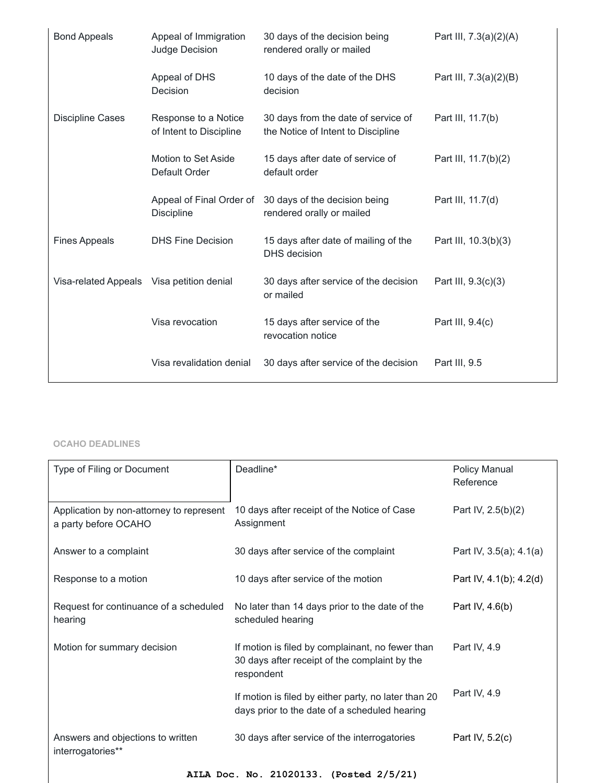| <b>Bond Appeals</b>                       | Appeal of Immigration<br>Judge Decision         | 30 days of the decision being<br>rendered orally or mailed                | Part III, 7.3(a)(2)(A) |
|-------------------------------------------|-------------------------------------------------|---------------------------------------------------------------------------|------------------------|
|                                           | Appeal of DHS<br>Decision                       | 10 days of the date of the DHS<br>decision                                | Part III, 7.3(a)(2)(B) |
| <b>Discipline Cases</b>                   | Response to a Notice<br>of Intent to Discipline | 30 days from the date of service of<br>the Notice of Intent to Discipline | Part III, 11.7(b)      |
|                                           | Motion to Set Aside<br>Default Order            | 15 days after date of service of<br>default order                         | Part III, 11.7(b)(2)   |
|                                           | Appeal of Final Order of<br><b>Discipline</b>   | 30 days of the decision being<br>rendered orally or mailed                | Part III, 11.7(d)      |
| <b>Fines Appeals</b>                      | <b>DHS Fine Decision</b>                        | 15 days after date of mailing of the<br><b>DHS</b> decision               | Part III, 10.3(b)(3)   |
| Visa-related Appeals Visa petition denial |                                                 | 30 days after service of the decision<br>or mailed                        | Part III, 9.3(c)(3)    |
|                                           | Visa revocation                                 | 15 days after service of the<br>revocation notice                         | Part III, 9.4(c)       |
|                                           | Visa revalidation denial                        | 30 days after service of the decision                                     | Part III, 9.5          |

## **OCAHO DEADLINES**

| Type of Filing or Document                                       | Deadline*                                                                                                       | Policy Manual<br>Reference |  |
|------------------------------------------------------------------|-----------------------------------------------------------------------------------------------------------------|----------------------------|--|
| Application by non-attorney to represent<br>a party before OCAHO | 10 days after receipt of the Notice of Case<br>Assignment                                                       | Part IV, 2.5(b)(2)         |  |
| Answer to a complaint                                            | 30 days after service of the complaint                                                                          | Part IV, 3.5(a); 4.1(a)    |  |
| Response to a motion                                             | 10 days after service of the motion                                                                             | Part IV, 4.1(b); 4.2(d)    |  |
| Request for continuance of a scheduled<br>hearing                | No later than 14 days prior to the date of the<br>scheduled hearing                                             | Part IV, 4.6(b)            |  |
| Motion for summary decision                                      | If motion is filed by complainant, no fewer than<br>30 days after receipt of the complaint by the<br>respondent | Part IV, 4.9               |  |
|                                                                  | If motion is filed by either party, no later than 20<br>days prior to the date of a scheduled hearing           | Part IV, 4.9               |  |
| Answers and objections to written<br>interrogatories**           | 30 days after service of the interrogatories                                                                    | Part IV, 5.2(c)            |  |
| AILA Doc. No. 21020133. (Posted 2/5/21)                          |                                                                                                                 |                            |  |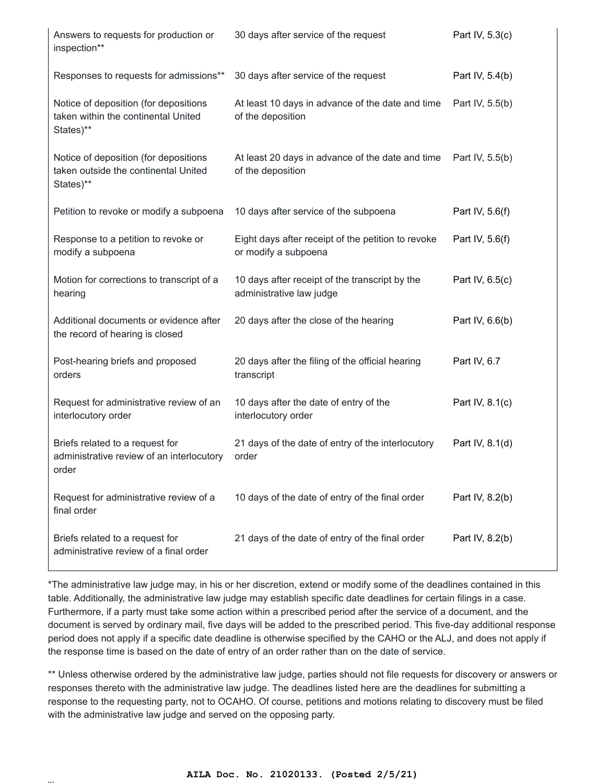| Answers to requests for production or<br>inspection**                                      | 30 days after service of the request                                       | Part IV, 5.3(c) |
|--------------------------------------------------------------------------------------------|----------------------------------------------------------------------------|-----------------|
| Responses to requests for admissions**                                                     | 30 days after service of the request                                       | Part IV, 5.4(b) |
| Notice of deposition (for depositions<br>taken within the continental United<br>States)**  | At least 10 days in advance of the date and time<br>of the deposition      | Part IV, 5.5(b) |
| Notice of deposition (for depositions<br>taken outside the continental United<br>States)** | At least 20 days in advance of the date and time<br>of the deposition      | Part IV, 5.5(b) |
| Petition to revoke or modify a subpoena                                                    | 10 days after service of the subpoena                                      | Part IV, 5.6(f) |
| Response to a petition to revoke or<br>modify a subpoena                                   | Eight days after receipt of the petition to revoke<br>or modify a subpoena | Part IV, 5.6(f) |
| Motion for corrections to transcript of a<br>hearing                                       | 10 days after receipt of the transcript by the<br>administrative law judge | Part IV, 6.5(c) |
| Additional documents or evidence after<br>the record of hearing is closed                  | 20 days after the close of the hearing                                     | Part IV, 6.6(b) |
| Post-hearing briefs and proposed<br>orders                                                 | 20 days after the filing of the official hearing<br>transcript             | Part IV, 6.7    |
| Request for administrative review of an<br>interlocutory order                             | 10 days after the date of entry of the<br>interlocutory order              | Part IV, 8.1(c) |
| Briefs related to a request for<br>administrative review of an interlocutory<br>order      | 21 days of the date of entry of the interlocutory<br>order                 | Part IV, 8.1(d) |
| Request for administrative review of a<br>final order                                      | 10 days of the date of entry of the final order                            | Part IV, 8.2(b) |
| Briefs related to a request for<br>administrative review of a final order                  | 21 days of the date of entry of the final order                            | Part IV, 8.2(b) |

\*The administrative law judge may, in his or her discretion, extend or modify some of the deadlines contained in this table. Additionally, the administrative law judge may establish specific date deadlines for certain filings in a case. Furthermore, if a party must take some action within a prescribed period after the service of a document, and the document is served by ordinary mail, five days will be added to the prescribed period. This five-day additional response period does not apply if a specific date deadline is otherwise specified by the CAHO or the ALJ, and does not apply if the response time is based on the date of entry of an order rather than on the date of service.

\*\* Unless otherwise ordered by the administrative law judge, parties should not file requests for discovery or answers or responses thereto with the administrative law judge. The deadlines listed here are the deadlines for submitting a response to the requesting party, not to OCAHO. Of course, petitions and motions relating to discovery must be filed with the administrative law judge and served on the opposing party.